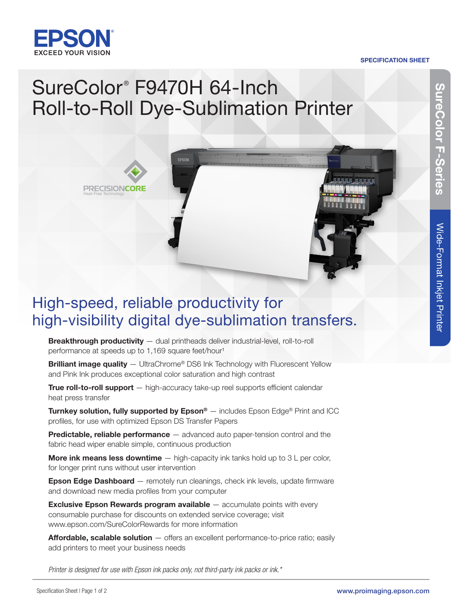

Heat-Free Technology

**PRECISIONCORE** 

#### SPECIFICATION SHEET

## SureColor<sup>®</sup> F9470H 64-Inch Roll-to-Roll Dye-Sublimation Printer



Breakthrough productivity - dual printheads deliver industrial-level, roll-to-roll performance at speeds up to 1,169 square feet/hour<sup>1</sup>

Brilliant image quality - UltraChrome® DS6 Ink Technology with Fluorescent Yellow and Pink Ink produces exceptional color saturation and high contrast

True roll-to-roll support - high-accuracy take-up reel supports efficient calendar heat press transfer

**Turnkey solution, fully supported by Epson®**  $-$  includes Epson Edge® Print and ICC profiles, for use with optimized Epson DS Transfer Papers

**Predictable, reliable performance** — advanced auto paper-tension control and the fabric head wiper enable simple, continuous production

**More ink means less downtime**  $-$  high-capacity ink tanks hold up to  $3 \text{ L}$  per color, for longer print runs without user intervention

**Epson Edge Dashboard** — remotely run cleanings, check ink levels, update firmware and download new media profiles from your computer

**Exclusive Epson Rewards program available** – accumulate points with every consumable purchase for discounts on extended service coverage; visit [www.epson.com/SureColorRewards fo](http://www.epson.com/SureColorRewards)r more information

**Affordable, scalable solution**  $-$  offers an excellent performance-to-price ratio; easily add printers to meet your business needs

*Printer is designed for use with Epson ink packs only, not third-party ink packs or ink.\**